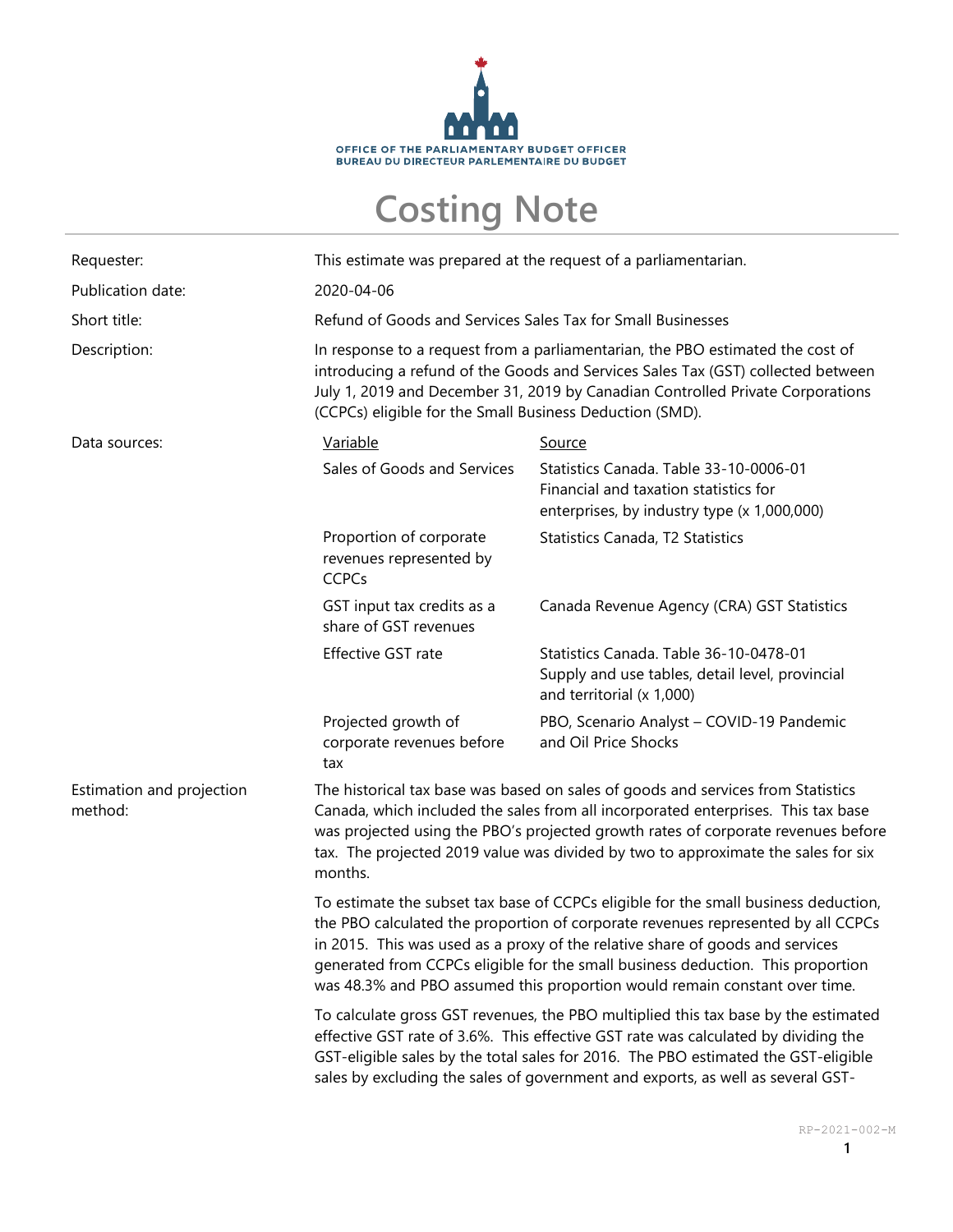

## **Costing Note**

| Requester:                           | This estimate was prepared at the request of a parliamentarian.                                                                                                                                                                                                                                                                                                                                                           |                                                                                                                                |  |
|--------------------------------------|---------------------------------------------------------------------------------------------------------------------------------------------------------------------------------------------------------------------------------------------------------------------------------------------------------------------------------------------------------------------------------------------------------------------------|--------------------------------------------------------------------------------------------------------------------------------|--|
| Publication date:                    | 2020-04-06                                                                                                                                                                                                                                                                                                                                                                                                                |                                                                                                                                |  |
| Short title:                         | Refund of Goods and Services Sales Tax for Small Businesses                                                                                                                                                                                                                                                                                                                                                               |                                                                                                                                |  |
| Description:                         | In response to a request from a parliamentarian, the PBO estimated the cost of<br>introducing a refund of the Goods and Services Sales Tax (GST) collected between<br>July 1, 2019 and December 31, 2019 by Canadian Controlled Private Corporations<br>(CCPCs) eligible for the Small Business Deduction (SMD).                                                                                                          |                                                                                                                                |  |
| Data sources:                        | Variable                                                                                                                                                                                                                                                                                                                                                                                                                  | <b>Source</b>                                                                                                                  |  |
|                                      | Sales of Goods and Services                                                                                                                                                                                                                                                                                                                                                                                               | Statistics Canada. Table 33-10-0006-01<br>Financial and taxation statistics for<br>enterprises, by industry type (x 1,000,000) |  |
|                                      | Proportion of corporate<br>revenues represented by<br><b>CCPCs</b>                                                                                                                                                                                                                                                                                                                                                        | Statistics Canada, T2 Statistics                                                                                               |  |
|                                      | GST input tax credits as a<br>share of GST revenues                                                                                                                                                                                                                                                                                                                                                                       | Canada Revenue Agency (CRA) GST Statistics                                                                                     |  |
|                                      | Effective GST rate                                                                                                                                                                                                                                                                                                                                                                                                        | Statistics Canada. Table 36-10-0478-01<br>Supply and use tables, detail level, provincial<br>and territorial (x 1,000)         |  |
|                                      | Projected growth of<br>corporate revenues before<br>tax                                                                                                                                                                                                                                                                                                                                                                   | PBO, Scenario Analyst - COVID-19 Pandemic<br>and Oil Price Shocks                                                              |  |
| Estimation and projection<br>method: | The historical tax base was based on sales of goods and services from Statistics<br>Canada, which included the sales from all incorporated enterprises. This tax base<br>was projected using the PBO's projected growth rates of corporate revenues before<br>tax. The projected 2019 value was divided by two to approximate the sales for six<br>months.                                                                |                                                                                                                                |  |
|                                      | To estimate the subset tax base of CCPCs eligible for the small business deduction,<br>the PBO calculated the proportion of corporate revenues represented by all CCPCs<br>in 2015. This was used as a proxy of the relative share of goods and services<br>generated from CCPCs eligible for the small business deduction. This proportion<br>was 48.3% and PBO assumed this proportion would remain constant over time. |                                                                                                                                |  |
|                                      | To calculate gross GST revenues, the PBO multiplied this tax base by the estimated<br>effective GST rate of 3.6%. This effective GST rate was calculated by dividing the<br>GST-eligible sales by the total sales for 2016. The PBO estimated the GST-eligible<br>sales by excluding the sales of government and exports, as well as several GST-                                                                         |                                                                                                                                |  |